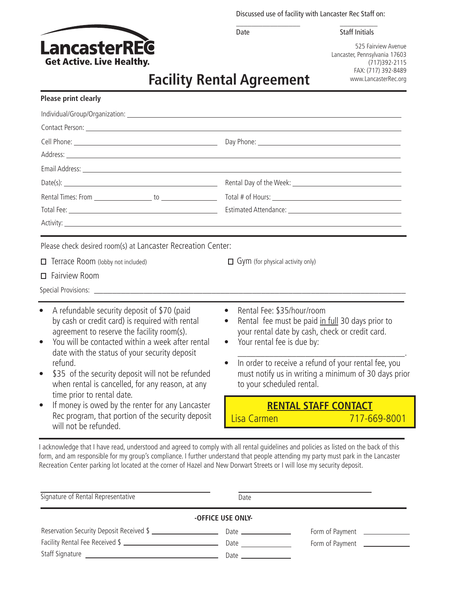Discussed use of facility with Lancaster Rec Staff on:

\_\_\_\_\_\_\_\_\_\_\_\_\_\_\_\_\_ \_\_\_\_\_\_\_\_\_\_ Date Staff Initials



525 Fairview Avenue Lancaster, Pennsylvania 17603 (717)392-2115 FAX: (717) 392-8489 www.LancasterRec.org

# **Facility Rental Agreement**

| <b>Please print clearly</b>                                                                                                                                                                                                                                                                                                                                                                                                                                                                                                           |                                                                                                                                                                                                                                                                                                                                                     |  |
|---------------------------------------------------------------------------------------------------------------------------------------------------------------------------------------------------------------------------------------------------------------------------------------------------------------------------------------------------------------------------------------------------------------------------------------------------------------------------------------------------------------------------------------|-----------------------------------------------------------------------------------------------------------------------------------------------------------------------------------------------------------------------------------------------------------------------------------------------------------------------------------------------------|--|
|                                                                                                                                                                                                                                                                                                                                                                                                                                                                                                                                       |                                                                                                                                                                                                                                                                                                                                                     |  |
|                                                                                                                                                                                                                                                                                                                                                                                                                                                                                                                                       |                                                                                                                                                                                                                                                                                                                                                     |  |
|                                                                                                                                                                                                                                                                                                                                                                                                                                                                                                                                       |                                                                                                                                                                                                                                                                                                                                                     |  |
|                                                                                                                                                                                                                                                                                                                                                                                                                                                                                                                                       |                                                                                                                                                                                                                                                                                                                                                     |  |
|                                                                                                                                                                                                                                                                                                                                                                                                                                                                                                                                       |                                                                                                                                                                                                                                                                                                                                                     |  |
|                                                                                                                                                                                                                                                                                                                                                                                                                                                                                                                                       |                                                                                                                                                                                                                                                                                                                                                     |  |
|                                                                                                                                                                                                                                                                                                                                                                                                                                                                                                                                       |                                                                                                                                                                                                                                                                                                                                                     |  |
|                                                                                                                                                                                                                                                                                                                                                                                                                                                                                                                                       |                                                                                                                                                                                                                                                                                                                                                     |  |
|                                                                                                                                                                                                                                                                                                                                                                                                                                                                                                                                       |                                                                                                                                                                                                                                                                                                                                                     |  |
| Terrace Room (lobby not included)<br>$\Box$ Fairview Room                                                                                                                                                                                                                                                                                                                                                                                                                                                                             | $\Box$ Gym (for physical activity only)                                                                                                                                                                                                                                                                                                             |  |
| A refundable security deposit of \$70 (paid<br>by cash or credit card) is required with rental<br>agreement to reserve the facility room(s).<br>You will be contacted within a week after rental<br>date with the status of your security deposit<br>refund.<br>\$35 of the security deposit will not be refunded<br>when rental is cancelled, for any reason, at any<br>time prior to rental date.<br>If money is owed by the renter for any Lancaster<br>Rec program, that portion of the security deposit<br>will not be refunded. | Rental Fee: \$35/hour/room<br>$\bullet$<br>Rental fee must be paid in full 30 days prior to<br>your rental date by cash, check or credit card.<br>Your rental fee is due by:<br>$\bullet$<br>In order to receive a refund of your rental fee, you<br>$\bullet$<br>must notify us in writing a minimum of 30 days prior<br>to your scheduled rental. |  |
|                                                                                                                                                                                                                                                                                                                                                                                                                                                                                                                                       | <b>RENTAL STAFF CONTACT</b><br>Lisa Carmen<br>717-669-8001                                                                                                                                                                                                                                                                                          |  |

I acknowledge that I have read, understood and agreed to comply with all rental guidelines and policies as listed on the back of this form, and am responsible for my group's compliance. I further understand that people attending my party must park in the Lancaster Recreation Center parking lot located at the corner of Hazel and New Dorwart Streets or I will lose my security deposit.

| Signature of Rental Representative                                                                             | Date                                                                                                                                                                                                                           |                 |  |  |  |
|----------------------------------------------------------------------------------------------------------------|--------------------------------------------------------------------------------------------------------------------------------------------------------------------------------------------------------------------------------|-----------------|--|--|--|
| -OFFICE USE ONLY-                                                                                              |                                                                                                                                                                                                                                |                 |  |  |  |
| Reservation Security Deposit Received \$                                                                       |                                                                                                                                                                                                                                | Form of Payment |  |  |  |
| Facility Rental Fee Received \$                                                                                | Date and the state of the state of the state of the state of the state of the state of the state of the state o                                                                                                                | Form of Payment |  |  |  |
| Staff Signature and the state of the state of the state of the state of the state of the state of the state of | Date and the contract of the contract of the contract of the contract of the contract of the contract of the contract of the contract of the contract of the contract of the contract of the contract of the contract of the c |                 |  |  |  |